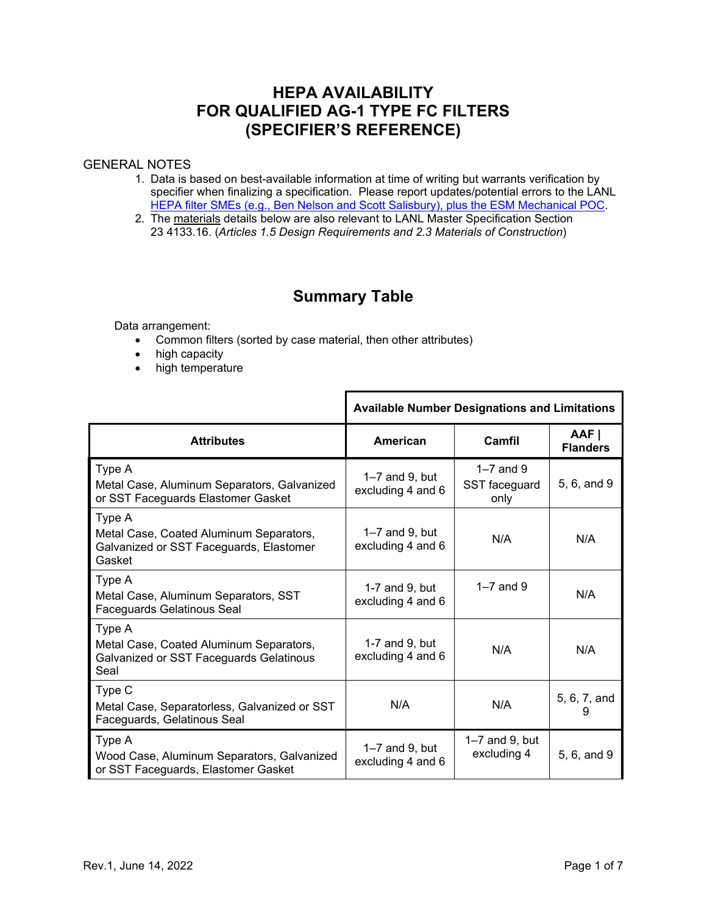## **HEPA AVAILABILITY FOR QUALIFIED AG-1 TYPE FC FILTERS (SPECIFIER'S REFERENCE)**

#### GENERAL NOTES

- 1. Data is based on best-available information at time of writing but warrants verification by specifier when finalizing a specification. Please report updates/potential errors to the LANL [HEPA filter SMEs \(e.g., Ben Nelson and](http://engstandards.lanl.gov/POCs.shtml#mech) Scott Salisbury), plus the ESM Mechanical POC.
- 2. The materials details below are also relevant to LANL Master Specification Section 23 4133.16. (*Articles 1.5 Design Requirements and 2.3 Materials of Construction*)

# **Summary Table**

Data arrangement:

- Common filters (sorted by case material, then other attributes)
- high capacity
- high temperature

|                                                                                                        | <b>Available Number Designations and Limitations</b> |                                      |                          |
|--------------------------------------------------------------------------------------------------------|------------------------------------------------------|--------------------------------------|--------------------------|
| <b>Attributes</b>                                                                                      | American                                             | Camfil                               | AAF I<br><b>Flanders</b> |
| Type A<br>Metal Case, Aluminum Separators, Galvanized<br>or SST Faceguards Elastomer Gasket            | $1 - 7$ and 9, but<br>excluding 4 and 6              | $1-7$ and 9<br>SST faceguard<br>only | 5, 6, and 9              |
| Type A<br>Metal Case, Coated Aluminum Separators,<br>Galvanized or SST Faceguards, Elastomer<br>Gasket | $1 - 7$ and 9, but<br>excluding 4 and 6              | N/A                                  | N/A                      |
| Type A<br>Metal Case, Aluminum Separators, SST<br>Faceguards Gelatinous Seal                           | 1-7 and 9, but<br>excluding 4 and 6                  | $1-7$ and 9                          | N/A                      |
| Type A<br>Metal Case, Coated Aluminum Separators,<br>Galvanized or SST Faceguards Gelatinous<br>Seal   | 1-7 and $9$ , but<br>excluding 4 and 6               | N/A                                  | N/A                      |
| Type C<br>Metal Case, Separatorless, Galvanized or SST<br>Faceguards, Gelatinous Seal                  | N/A                                                  | N/A                                  | 5, 6, 7, and<br>9        |
| Type A<br>Wood Case, Aluminum Separators, Galvanized<br>or SST Faceguards, Elastomer Gasket            | $1-7$ and 9, but<br>excluding 4 and 6                | $1-7$ and $9$ , but<br>excluding 4   | 5, 6, and 9              |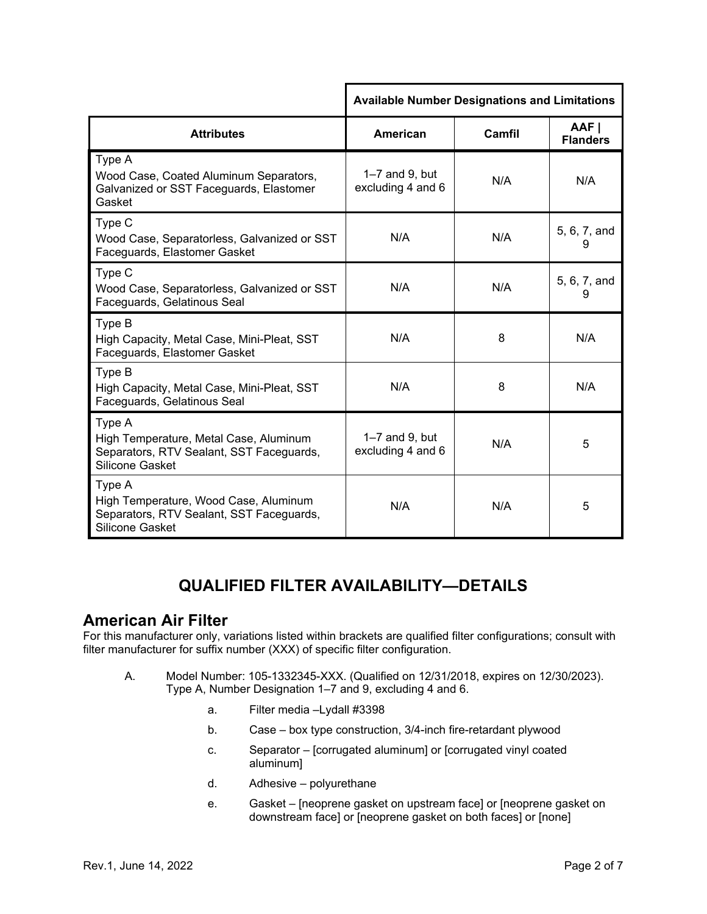|                                                                                                                        | <b>Available Number Designations and Limitations</b> |        |                          |
|------------------------------------------------------------------------------------------------------------------------|------------------------------------------------------|--------|--------------------------|
| <b>Attributes</b>                                                                                                      | <b>American</b>                                      | Camfil | AAF I<br><b>Flanders</b> |
| Type A<br>Wood Case, Coated Aluminum Separators,<br>Galvanized or SST Faceguards, Elastomer<br>Gasket                  | $1-7$ and 9, but<br>excluding 4 and 6                | N/A    | N/A                      |
| Type C<br>Wood Case, Separatorless, Galvanized or SST<br>Faceguards, Elastomer Gasket                                  | N/A                                                  | N/A    | 5, 6, 7, and<br>9        |
| Type C<br>Wood Case, Separatorless, Galvanized or SST<br>Faceguards, Gelatinous Seal                                   | N/A                                                  | N/A    | 5, 6, 7, and<br>9        |
| Type B<br>High Capacity, Metal Case, Mini-Pleat, SST<br>Faceguards, Elastomer Gasket                                   | N/A                                                  | 8      | N/A                      |
| Type B<br>High Capacity, Metal Case, Mini-Pleat, SST<br>Faceguards, Gelatinous Seal                                    | N/A                                                  | 8      | N/A                      |
| Type A<br>High Temperature, Metal Case, Aluminum<br>Separators, RTV Sealant, SST Faceguards,<br><b>Silicone Gasket</b> | $1-7$ and 9, but<br>excluding 4 and 6                | N/A    | 5                        |
| Type A<br>High Temperature, Wood Case, Aluminum<br>Separators, RTV Sealant, SST Faceguards,<br><b>Silicone Gasket</b>  | N/A                                                  | N/A    | 5                        |

# **QUALIFIED FILTER AVAILABILITY—DETAILS**

### **American Air Filter**

For this manufacturer only, variations listed within brackets are qualified filter configurations; consult with filter manufacturer for suffix number (XXX) of specific filter configuration.

- A. Model Number: 105-1332345-XXX. (Qualified on 12/31/2018, expires on 12/30/2023). Type A, Number Designation 1–7 and 9, excluding 4 and 6.
	- a. Filter media –Lydall #3398
	- b. Case box type construction, 3/4-inch fire-retardant plywood
	- c. Separator [corrugated aluminum] or [corrugated vinyl coated aluminum]
	- d. Adhesive polyurethane
	- e. Gasket [neoprene gasket on upstream face] or [neoprene gasket on downstream face] or [neoprene gasket on both faces] or [none]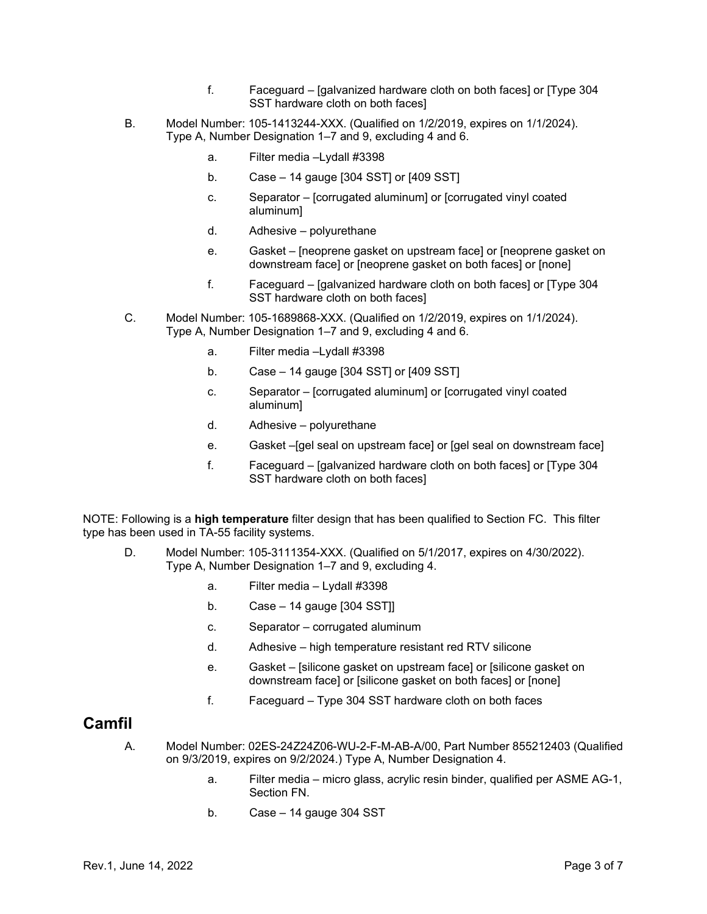- f. Faceguard [galvanized hardware cloth on both faces] or [Type 304 SST hardware cloth on both faces]
- B. Model Number: 105-1413244-XXX. (Qualified on 1/2/2019, expires on 1/1/2024). Type A, Number Designation 1–7 and 9, excluding 4 and 6.
	- a. Filter media –Lydall #3398
	- b. Case 14 gauge [304 SST] or [409 SST]
	- c. Separator [corrugated aluminum] or [corrugated vinyl coated aluminum]
	- d. Adhesive polyurethane
	- e. Gasket [neoprene gasket on upstream face] or [neoprene gasket on downstream face] or [neoprene gasket on both faces] or [none]
	- f. Faceguard [galvanized hardware cloth on both faces] or [Type 304 SST hardware cloth on both faces]
- C. Model Number: 105-1689868-XXX. (Qualified on 1/2/2019, expires on 1/1/2024). Type A, Number Designation 1–7 and 9, excluding 4 and 6.
	- a. Filter media –Lydall #3398
	- b. Case 14 gauge [304 SST] or [409 SST]
	- c. Separator [corrugated aluminum] or [corrugated vinyl coated aluminum]
	- d. Adhesive polyurethane
	- e. Gasket –[gel seal on upstream face] or [gel seal on downstream face]
	- f. Faceguard [galvanized hardware cloth on both faces] or [Type 304 SST hardware cloth on both faces]

NOTE: Following is a **high temperature** filter design that has been qualified to Section FC. This filter type has been used in TA-55 facility systems.

- D. Model Number: 105-3111354-XXX. (Qualified on 5/1/2017, expires on 4/30/2022). Type A, Number Designation 1–7 and 9, excluding 4.
	- a. Filter media Lydall #3398
	- b. Case 14 gauge [304 SST]]
	- c. Separator corrugated aluminum
	- d. Adhesive high temperature resistant red RTV silicone
	- e. Gasket [silicone gasket on upstream face] or [silicone gasket on downstream face] or [silicone gasket on both faces] or [none]
	- f. Faceguard Type 304 SST hardware cloth on both faces

### **Camfil**

- A. Model Number: 02ES-24Z24Z06-WU-2-F-M-AB-A/00, Part Number 855212403 (Qualified on 9/3/2019, expires on 9/2/2024.) Type A, Number Designation 4.
	- a. Filter media micro glass, acrylic resin binder, qualified per ASME AG-1, Section FN.
	- b. Case 14 gauge 304 SST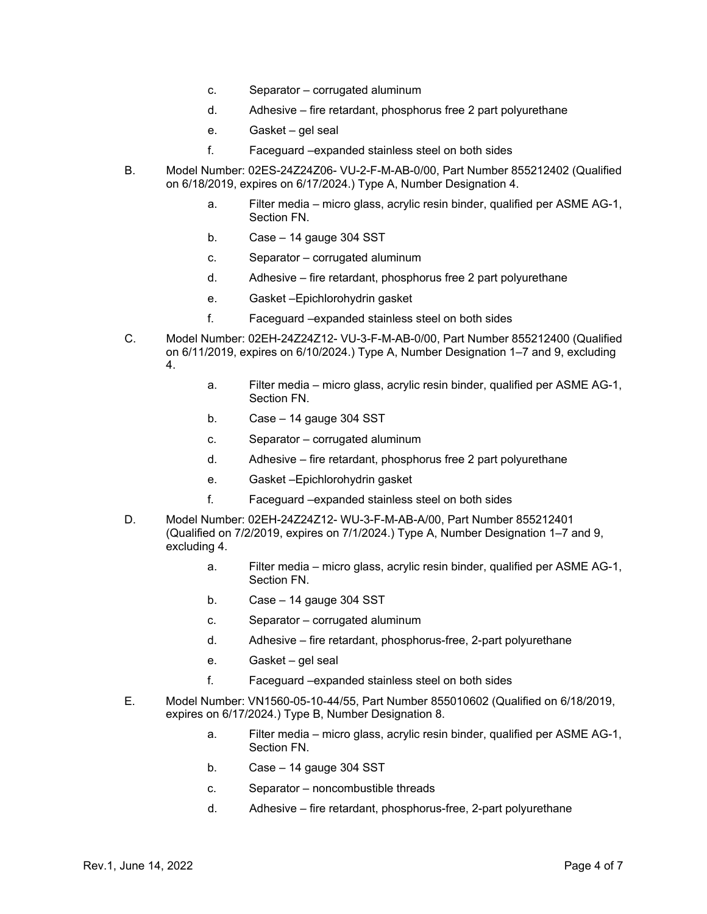- c. Separator corrugated aluminum
- d. Adhesive fire retardant, phosphorus free 2 part polyurethane
- e. Gasket gel seal
- f. Faceguard –expanded stainless steel on both sides
- B. Model Number: 02ES-24Z24Z06- VU-2-F-M-AB-0/00, Part Number 855212402 (Qualified on 6/18/2019, expires on 6/17/2024.) Type A, Number Designation 4.
	- a. Filter media micro glass, acrylic resin binder, qualified per ASME AG-1, Section FN.
	- b. Case 14 gauge 304 SST
	- c. Separator corrugated aluminum
	- d. Adhesive fire retardant, phosphorus free 2 part polyurethane
	- e. Gasket –Epichlorohydrin gasket
	- f. Faceguard –expanded stainless steel on both sides
- C. Model Number: 02EH-24Z24Z12- VU-3-F-M-AB-0/00, Part Number 855212400 (Qualified on 6/11/2019, expires on 6/10/2024.) Type A, Number Designation 1–7 and 9, excluding 4.
	- a. Filter media micro glass, acrylic resin binder, qualified per ASME AG-1, Section FN.
	- b. Case 14 gauge 304 SST
	- c. Separator corrugated aluminum
	- d. Adhesive fire retardant, phosphorus free 2 part polyurethane
	- e. Gasket –Epichlorohydrin gasket
	- f. Faceguard –expanded stainless steel on both sides
- D. Model Number: 02EH-24Z24Z12- WU-3-F-M-AB-A/00, Part Number 855212401 (Qualified on 7/2/2019, expires on 7/1/2024.) Type A, Number Designation 1–7 and 9, excluding 4.
	- a. Filter media micro glass, acrylic resin binder, qualified per ASME AG-1, Section FN.
	- b. Case 14 gauge 304 SST
	- c. Separator corrugated aluminum
	- d. Adhesive fire retardant, phosphorus-free, 2-part polyurethane
	- e. Gasket gel seal
	- f. Faceguard –expanded stainless steel on both sides
- E. Model Number: VN1560-05-10-44/55, Part Number 855010602 (Qualified on 6/18/2019, expires on 6/17/2024.) Type B, Number Designation 8.
	- a. Filter media micro glass, acrylic resin binder, qualified per ASME AG-1, Section FN.
	- b. Case 14 gauge 304 SST
	- c. Separator noncombustible threads
	- d. Adhesive fire retardant, phosphorus-free, 2-part polyurethane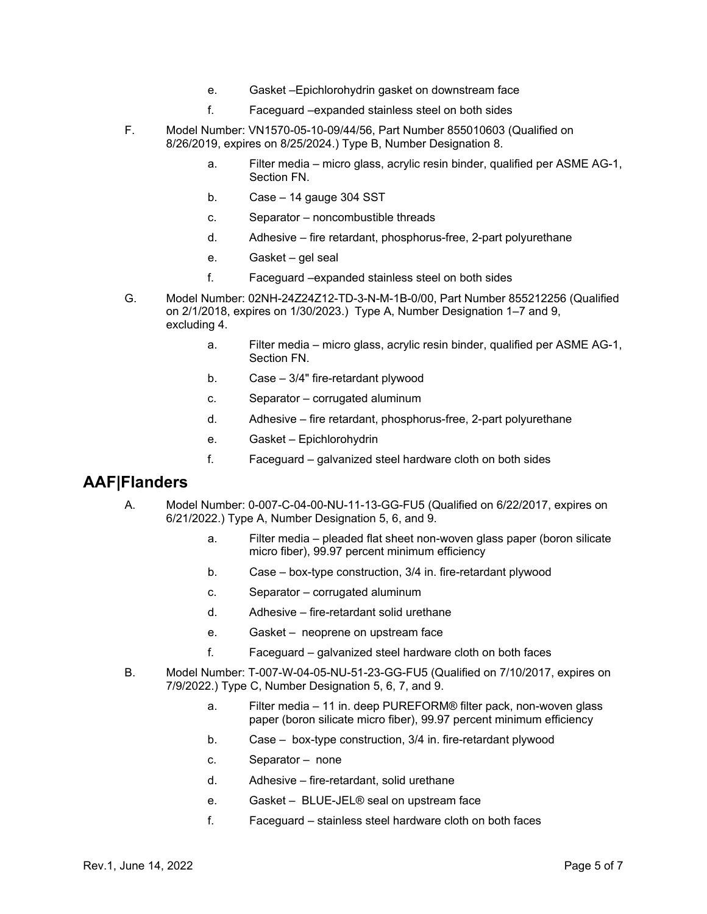- e. Gasket –Epichlorohydrin gasket on downstream face
- f. Faceguard –expanded stainless steel on both sides
- F. Model Number: VN1570-05-10-09/44/56, Part Number 855010603 (Qualified on 8/26/2019, expires on 8/25/2024.) Type B, Number Designation 8.
	- a. Filter media micro glass, acrylic resin binder, qualified per ASME AG-1, Section FN.
	- b. Case 14 gauge 304 SST
	- c. Separator noncombustible threads
	- d. Adhesive fire retardant, phosphorus-free, 2-part polyurethane
	- e. Gasket gel seal
	- f. Faceguard –expanded stainless steel on both sides
- G. Model Number: 02NH-24Z24Z12-TD-3-N-M-1B-0/00, Part Number 855212256 (Qualified on 2/1/2018, expires on 1/30/2023.) Type A, Number Designation 1–7 and 9, excluding 4.
	- a. Filter media micro glass, acrylic resin binder, qualified per ASME AG-1, Section FN.
	- b. Case 3/4" fire-retardant plywood
	- c. Separator corrugated aluminum
	- d. Adhesive fire retardant, phosphorus-free, 2-part polyurethane
	- e. Gasket Epichlorohydrin
	- f. Faceguard galvanized steel hardware cloth on both sides

### **AAF|Flanders**

- A. Model Number: 0-007-C-04-00-NU-11-13-GG-FU5 (Qualified on 6/22/2017, expires on 6/21/2022.) Type A, Number Designation 5, 6, and 9.
	- a. Filter media pleaded flat sheet non-woven glass paper (boron silicate micro fiber), 99.97 percent minimum efficiency
	- b. Case box-type construction, 3/4 in. fire-retardant plywood
	- c. Separator corrugated aluminum
	- d. Adhesive fire-retardant solid urethane
	- e. Gasket neoprene on upstream face
	- f. Faceguard galvanized steel hardware cloth on both faces
- B. Model Number: T-007-W-04-05-NU-51-23-GG-FU5 (Qualified on 7/10/2017, expires on 7/9/2022.) Type C, Number Designation 5, 6, 7, and 9.
	- a. Filter media 11 in. deep PUREFORM® filter pack, non-woven glass paper (boron silicate micro fiber), 99.97 percent minimum efficiency
	- b. Case box-type construction, 3/4 in. fire-retardant plywood
	- c. Separator none
	- d. Adhesive fire-retardant, solid urethane
	- e. Gasket BLUE-JEL® seal on upstream face
	- f. Faceguard stainless steel hardware cloth on both faces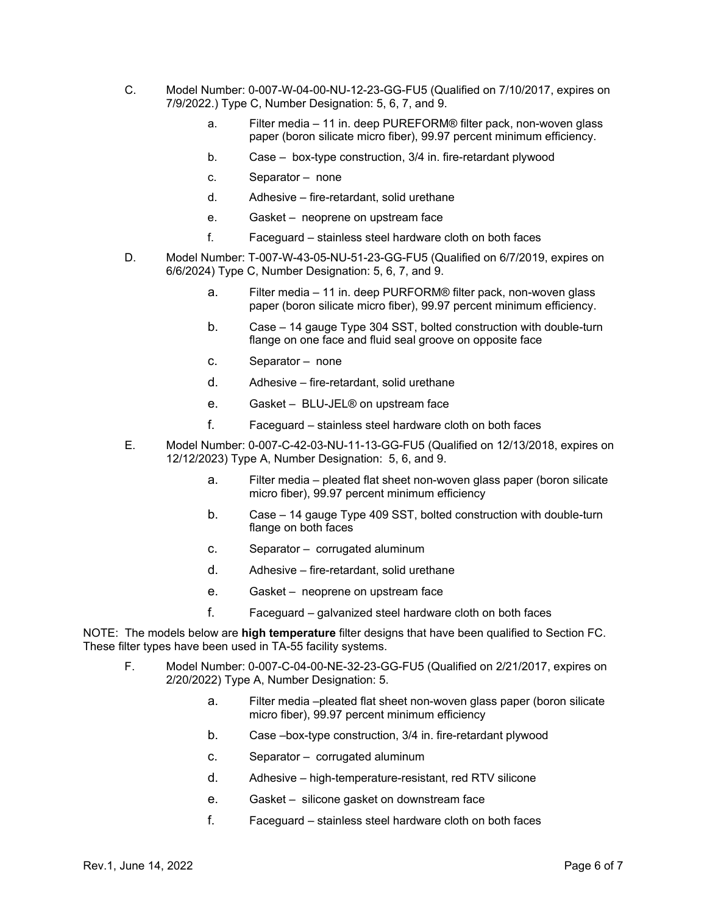- C. Model Number: 0-007-W-04-00-NU-12-23-GG-FU5 (Qualified on 7/10/2017, expires on 7/9/2022.) Type C, Number Designation: 5, 6, 7, and 9.
	- a. Filter media 11 in. deep PUREFORM® filter pack, non-woven glass paper (boron silicate micro fiber), 99.97 percent minimum efficiency.
	- b. Case box-type construction, 3/4 in. fire-retardant plywood
	- c. Separator none
	- d. Adhesive fire-retardant, solid urethane
	- e. Gasket neoprene on upstream face
	- f. Faceguard stainless steel hardware cloth on both faces
- D. Model Number: T-007-W-43-05-NU-51-23-GG-FU5 (Qualified on 6/7/2019, expires on 6/6/2024) Type C, Number Designation: 5, 6, 7, and 9.
	- a. Filter media 11 in. deep PURFORM® filter pack, non-woven glass paper (boron silicate micro fiber), 99.97 percent minimum efficiency.
	- b. Case 14 gauge Type 304 SST, bolted construction with double-turn flange on one face and fluid seal groove on opposite face
	- c. Separator none
	- d. Adhesive fire-retardant, solid urethane
	- e. Gasket BLU-JEL® on upstream face
	- f. Faceguard stainless steel hardware cloth on both faces
- E. Model Number: 0-007-C-42-03-NU-11-13-GG-FU5 (Qualified on 12/13/2018, expires on 12/12/2023) Type A, Number Designation: 5, 6, and 9.
	- a. Filter media pleated flat sheet non-woven glass paper (boron silicate micro fiber), 99.97 percent minimum efficiency
	- b. Case 14 gauge Type 409 SST, bolted construction with double-turn flange on both faces
	- c. Separator corrugated aluminum
	- d. Adhesive fire-retardant, solid urethane
	- e. Gasket neoprene on upstream face
	- f. Faceguard galvanized steel hardware cloth on both faces

NOTE: The models below are **high temperature** filter designs that have been qualified to Section FC. These filter types have been used in TA-55 facility systems.

- F. Model Number: 0-007-C-04-00-NE-32-23-GG-FU5 (Qualified on 2/21/2017, expires on 2/20/2022) Type A, Number Designation: 5.
	- a. Filter media –pleated flat sheet non-woven glass paper (boron silicate micro fiber), 99.97 percent minimum efficiency
	- b. Case –box-type construction, 3/4 in. fire-retardant plywood
	- c. Separator corrugated aluminum
	- d. Adhesive high-temperature-resistant, red RTV silicone
	- e. Gasket silicone gasket on downstream face
	- f. Faceguard stainless steel hardware cloth on both faces